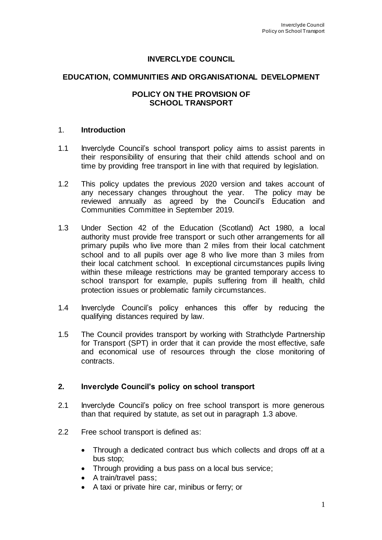# **INVERCLYDE COUNCIL**

### **EDUCATION, COMMUNITIES AND ORGANISATIONAL DEVELOPMENT**

### **POLICY ON THE PROVISION OF SCHOOL TRANSPORT**

#### 1. **Introduction**

- 1.1 Inverclyde Council's school transport policy aims to assist parents in their responsibility of ensuring that their child attends school and on time by providing free transport in line with that required by legislation.
- 1.2 This policy updates the previous 2020 version and takes account of any necessary changes throughout the year. The policy may be reviewed annually as agreed by the Council's Education and Communities Committee in September 2019.
- 1.3 Under Section 42 of the Education (Scotland) Act 1980, a local authority must provide free transport or such other arrangements for all primary pupils who live more than 2 miles from their local catchment school and to all pupils over age 8 who live more than 3 miles from their local catchment school. In exceptional circumstances pupils living within these mileage restrictions may be granted temporary access to school transport for example, pupils suffering from ill health, child protection issues or problematic family circumstances.
- 1.4 Inverclyde Council's policy enhances this offer by reducing the qualifying distances required by law.
- 1.5 The Council provides transport by working with Strathclyde Partnership for Transport (SPT) in order that it can provide the most effective, safe and economical use of resources through the close monitoring of contracts.

### **2. Inverclyde Council's policy on school transport**

- 2.1 Inverclyde Council's policy on free school transport is more generous than that required by statute, as set out in paragraph 1.3 above.
- 2.2 Free school transport is defined as:
	- Through a dedicated contract bus which collects and drops off at a bus stop;
	- Through providing a bus pass on a local bus service;
	- A train/travel pass;
	- A taxi or private hire car, minibus or ferry; or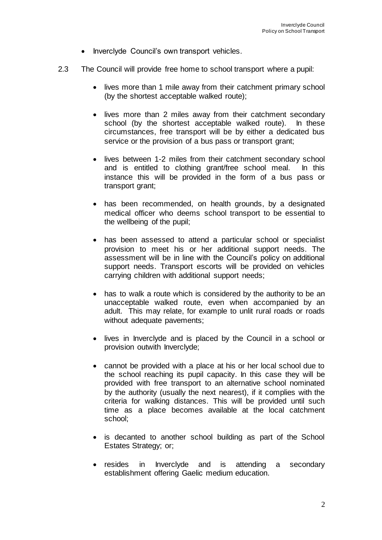- Inverclyde Council's own transport vehicles.
- 2.3 The Council will provide free home to school transport where a pupil:
	- lives more than 1 mile away from their catchment primary school (by the shortest acceptable walked route);
	- lives more than 2 miles away from their catchment secondary school (by the shortest acceptable walked route). In these circumstances, free transport will be by either a dedicated bus service or the provision of a bus pass or transport grant;
	- lives between 1-2 miles from their catchment secondary school and is entitled to clothing grant/free school meal. In this instance this will be provided in the form of a bus pass or transport grant;
	- has been recommended, on health grounds, by a designated medical officer who deems school transport to be essential to the wellbeing of the pupil;
	- has been assessed to attend a particular school or specialist provision to meet his or her additional support needs. The assessment will be in line with the Council's policy on additional support needs. Transport escorts will be provided on vehicles carrying children with additional support needs;
	- has to walk a route which is considered by the authority to be an unacceptable walked route, even when accompanied by an adult. This may relate, for example to unlit rural roads or roads without adequate pavements;
	- lives in Inverclyde and is placed by the Council in a school or provision outwith Inverclyde;
	- cannot be provided with a place at his or her local school due to the school reaching its pupil capacity. In this case they will be provided with free transport to an alternative school nominated by the authority (usually the next nearest), if it complies with the criteria for walking distances. This will be provided until such time as a place becomes available at the local catchment school;
	- is decanted to another school building as part of the School Estates Strategy; or;
	- resides in Inverclyde and is attending a secondary establishment offering Gaelic medium education.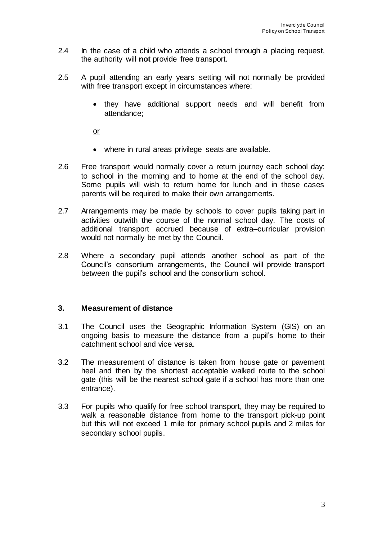- 2.4 In the case of a child who attends a school through a placing request, the authority will **not** provide free transport.
- 2.5 A pupil attending an early years setting will not normally be provided with free transport except in circumstances where:
	- they have additional support needs and will benefit from attendance;

or

- where in rural areas privilege seats are available.
- 2.6 Free transport would normally cover a return journey each school day: to school in the morning and to home at the end of the school day. Some pupils will wish to return home for lunch and in these cases parents will be required to make their own arrangements.
- 2.7 Arrangements may be made by schools to cover pupils taking part in activities outwith the course of the normal school day. The costs of additional transport accrued because of extra–curricular provision would not normally be met by the Council.
- 2.8 Where a secondary pupil attends another school as part of the Council's consortium arrangements, the Council will provide transport between the pupil's school and the consortium school.

### **3. Measurement of distance**

- 3.1 The Council uses the Geographic Information System (GIS) on an ongoing basis to measure the distance from a pupil's home to their catchment school and vice versa.
- 3.2 The measurement of distance is taken from house gate or pavement heel and then by the shortest acceptable walked route to the school gate (this will be the nearest school gate if a school has more than one entrance).
- 3.3 For pupils who qualify for free school transport, they may be required to walk a reasonable distance from home to the transport pick-up point but this will not exceed 1 mile for primary school pupils and 2 miles for secondary school pupils.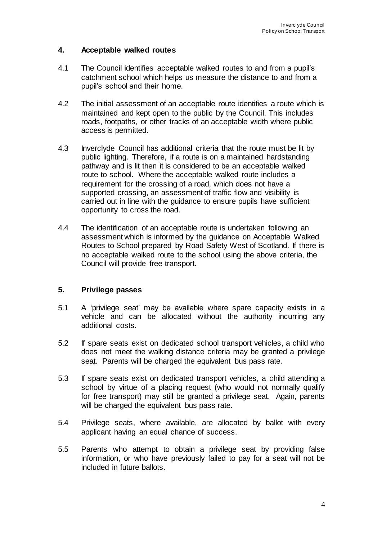## **4. Acceptable walked routes**

- 4.1 The Council identifies acceptable walked routes to and from a pupil's catchment school which helps us measure the distance to and from a pupil's school and their home.
- 4.2 The initial assessment of an acceptable route identifies a route which is maintained and kept open to the public by the Council. This includes roads, footpaths, or other tracks of an acceptable width where public access is permitted.
- 4.3 Inverclyde Council has additional criteria that the route must be lit by public lighting. Therefore, if a route is on a maintained hardstanding pathway and is lit then it is considered to be an acceptable walked route to school. Where the acceptable walked route includes a requirement for the crossing of a road, which does not have a supported crossing, an assessment of traffic flow and visibility is carried out in line with the guidance to ensure pupils have sufficient opportunity to cross the road.
- 4.4 The identification of an acceptable route is undertaken following an assessment which is informed by the guidance on Acceptable Walked Routes to School prepared by Road Safety West of Scotland. If there is no acceptable walked route to the school using the above criteria, the Council will provide free transport.

### **5. Privilege passes**

- 5.1 A 'privilege seat' may be available where spare capacity exists in a vehicle and can be allocated without the authority incurring any additional costs.
- 5.2 If spare seats exist on dedicated school transport vehicles, a child who does not meet the walking distance criteria may be granted a privilege seat. Parents will be charged the equivalent bus pass rate.
- 5.3 If spare seats exist on dedicated transport vehicles, a child attending a school by virtue of a placing request (who would not normally qualify for free transport) may still be granted a privilege seat. Again, parents will be charged the equivalent bus pass rate.
- 5.4 Privilege seats, where available, are allocated by ballot with every applicant having an equal chance of success.
- 5.5 Parents who attempt to obtain a privilege seat by providing false information, or who have previously failed to pay for a seat will not be included in future ballots.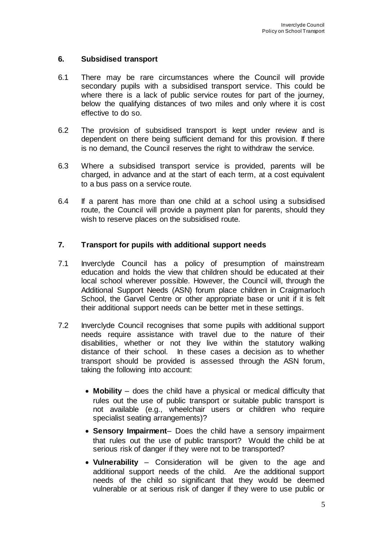### **6. Subsidised transport**

- 6.1 There may be rare circumstances where the Council will provide secondary pupils with a subsidised transport service. This could be where there is a lack of public service routes for part of the journey, below the qualifying distances of two miles and only where it is cost effective to do so.
- 6.2 The provision of subsidised transport is kept under review and is dependent on there being sufficient demand for this provision. If there is no demand, the Council reserves the right to withdraw the service.
- 6.3 Where a subsidised transport service is provided, parents will be charged, in advance and at the start of each term, at a cost equivalent to a bus pass on a service route.
- 6.4 If a parent has more than one child at a school using a subsidised route, the Council will provide a payment plan for parents, should they wish to reserve places on the subsidised route.

### **7. Transport for pupils with additional support needs**

- 7.1 Inverclyde Council has a policy of presumption of mainstream education and holds the view that children should be educated at their local school wherever possible. However, the Council will, through the Additional Support Needs (ASN) forum place children in Craigmarloch School, the Garvel Centre or other appropriate base or unit if it is felt their additional support needs can be better met in these settings.
- 7.2 Inverclyde Council recognises that some pupils with additional support needs require assistance with travel due to the nature of their disabilities, whether or not they live within the statutory walking distance of their school. In these cases a decision as to whether transport should be provided is assessed through the ASN forum, taking the following into account:
	- **Mobility** does the child have a physical or medical difficulty that rules out the use of public transport or suitable public transport is not available (e.g., wheelchair users or children who require specialist seating arrangements)?
	- **Sensory Impairment** Does the child have a sensory impairment that rules out the use of public transport? Would the child be at serious risk of danger if they were not to be transported?
	- **Vulnerability** Consideration will be given to the age and additional support needs of the child. Are the additional support needs of the child so significant that they would be deemed vulnerable or at serious risk of danger if they were to use public or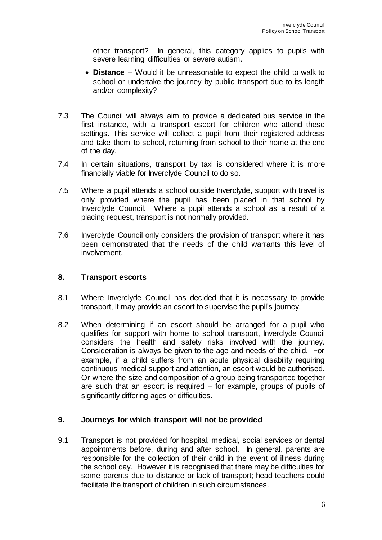other transport? In general, this category applies to pupils with severe learning difficulties or severe autism.

- **Distance** Would it be unreasonable to expect the child to walk to school or undertake the journey by public transport due to its length and/or complexity?
- 7.3 The Council will always aim to provide a dedicated bus service in the first instance, with a transport escort for children who attend these settings. This service will collect a pupil from their registered address and take them to school, returning from school to their home at the end of the day.
- 7.4 In certain situations, transport by taxi is considered where it is more financially viable for Inverclyde Council to do so.
- 7.5 Where a pupil attends a school outside Inverclyde, support with travel is only provided where the pupil has been placed in that school by Inverclyde Council. Where a pupil attends a school as a result of a placing request, transport is not normally provided.
- 7.6 Inverclyde Council only considers the provision of transport where it has been demonstrated that the needs of the child warrants this level of involvement.

## **8. Transport escorts**

- 8.1 Where Inverclyde Council has decided that it is necessary to provide transport, it may provide an escort to supervise the pupil's journey.
- 8.2 When determining if an escort should be arranged for a pupil who qualifies for support with home to school transport, Inverclyde Council considers the health and safety risks involved with the journey. Consideration is always be given to the age and needs of the child. For example, if a child suffers from an acute physical disability requiring continuous medical support and attention, an escort would be authorised. Or where the size and composition of a group being transported together are such that an escort is required – for example, groups of pupils of significantly differing ages or difficulties.

### **9. Journeys for which transport will not be provided**

9.1 Transport is not provided for hospital, medical, social services or dental appointments before, during and after school. In general, parents are responsible for the collection of their child in the event of illness during the school day. However it is recognised that there may be difficulties for some parents due to distance or lack of transport; head teachers could facilitate the transport of children in such circumstances.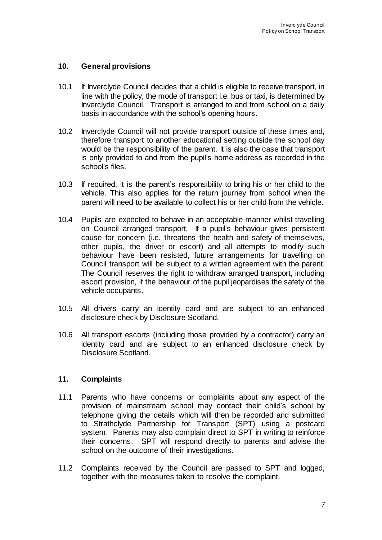## **10. General provisions**

- 10.1 If Inverclyde Council decides that a child is eligible to receive transport, in line with the policy, the mode of transport i.e. bus or taxi, is determined by Inverclyde Council. Transport is arranged to and from school on a daily basis in accordance with the school's opening hours.
- 10.2 Inverclyde Council will not provide transport outside of these times and, therefore transport to another educational setting outside the school day would be the responsibility of the parent. It is also the case that transport is only provided to and from the pupil's home address as recorded in the school's files.
- 10.3 If required, it is the parent's responsibility to bring his or her child to the vehicle. This also applies for the return journey from school when the parent will need to be available to collect his or her child from the vehicle.
- 10.4 Pupils are expected to behave in an acceptable manner whilst travelling on Council arranged transport. If a pupil's behaviour gives persistent cause for concern (i.e. threatens the health and safety of themselves, other pupils, the driver or escort) and all attempts to modify such behaviour have been resisted, future arrangements for travelling on Council transport will be subject to a written agreement with the parent. The Council reserves the right to withdraw arranged transport, including escort provision, if the behaviour of the pupil jeopardises the safety of the vehicle occupants.
- 10.5 All drivers carry an identity card and are subject to an enhanced disclosure check by Disclosure Scotland.
- 10.6 All transport escorts (including those provided by a contractor) carry an identity card and are subject to an enhanced disclosure check by Disclosure Scotland.

### **11. Complaints**

- 11.1 Parents who have concerns or complaints about any aspect of the provision of mainstream school may contact their child's school by telephone giving the details which will then be recorded and submitted to Strathclyde Partnership for Transport (SPT) using a postcard system. Parents may also complain direct to SPT in writing to reinforce their concerns. SPT will respond directly to parents and advise the school on the outcome of their investigations.
- 11.2 Complaints received by the Council are passed to SPT and logged, together with the measures taken to resolve the complaint.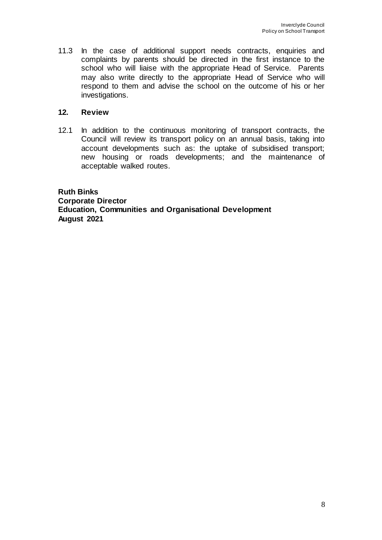11.3 In the case of additional support needs contracts, enquiries and complaints by parents should be directed in the first instance to the school who will liaise with the appropriate Head of Service. Parents may also write directly to the appropriate Head of Service who will respond to them and advise the school on the outcome of his or her investigations.

# **12. Review**

12.1 In addition to the continuous monitoring of transport contracts, the Council will review its transport policy on an annual basis, taking into account developments such as: the uptake of subsidised transport; new housing or roads developments; and the maintenance of acceptable walked routes.

**Ruth Binks Corporate Director Education, Communities and Organisational Development August 2021**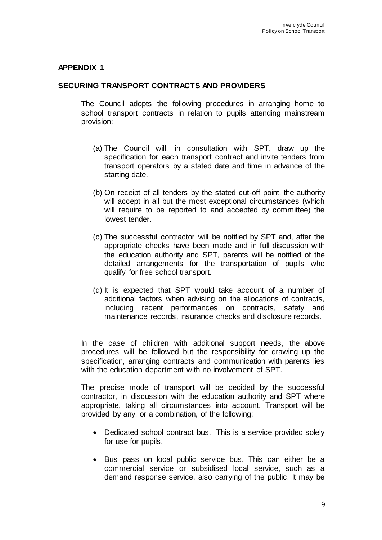### **APPENDIX 1**

### **SECURING TRANSPORT CONTRACTS AND PROVIDERS**

The Council adopts the following procedures in arranging home to school transport contracts in relation to pupils attending mainstream provision:

- (a) The Council will, in consultation with SPT, draw up the specification for each transport contract and invite tenders from transport operators by a stated date and time in advance of the starting date.
- (b) On receipt of all tenders by the stated cut-off point, the authority will accept in all but the most exceptional circumstances (which will require to be reported to and accepted by committee) the lowest tender.
- (c) The successful contractor will be notified by SPT and, after the appropriate checks have been made and in full discussion with the education authority and SPT, parents will be notified of the detailed arrangements for the transportation of pupils who qualify for free school transport.
- (d) It is expected that SPT would take account of a number of additional factors when advising on the allocations of contracts, including recent performances on contracts, safety and maintenance records, insurance checks and disclosure records.

In the case of children with additional support needs, the above procedures will be followed but the responsibility for drawing up the specification, arranging contracts and communication with parents lies with the education department with no involvement of SPT.

The precise mode of transport will be decided by the successful contractor, in discussion with the education authority and SPT where appropriate, taking all circumstances into account. Transport will be provided by any, or a combination, of the following:

- Dedicated school contract bus. This is a service provided solely for use for pupils.
- Bus pass on local public service bus. This can either be a commercial service or subsidised local service, such as a demand response service, also carrying of the public. It may be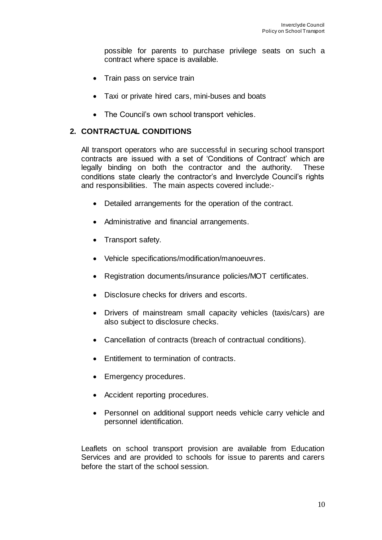possible for parents to purchase privilege seats on such a contract where space is available.

- Train pass on service train
- Taxi or private hired cars, mini-buses and boats
- The Council's own school transport vehicles.

### **2. CONTRACTUAL CONDITIONS**

All transport operators who are successful in securing school transport contracts are issued with a set of 'Conditions of Contract' which are legally binding on both the contractor and the authority. These conditions state clearly the contractor's and Inverclyde Council's rights and responsibilities. The main aspects covered include:-

- Detailed arrangements for the operation of the contract.
- Administrative and financial arrangements.
- Transport safety.
- Vehicle specifications/modification/manoeuvres.
- Registration documents/insurance policies/MOT certificates.
- Disclosure checks for drivers and escorts.
- Drivers of mainstream small capacity vehicles (taxis/cars) are also subject to disclosure checks.
- Cancellation of contracts (breach of contractual conditions).
- Entitlement to termination of contracts.
- Emergency procedures.
- Accident reporting procedures.
- Personnel on additional support needs vehicle carry vehicle and personnel identification.

Leaflets on school transport provision are available from Education Services and are provided to schools for issue to parents and carers before the start of the school session.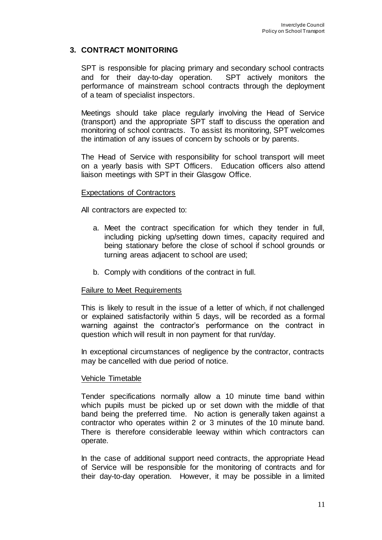## **3. CONTRACT MONITORING**

SPT is responsible for placing primary and secondary school contracts and for their day-to-day operation. SPT actively monitors the performance of mainstream school contracts through the deployment of a team of specialist inspectors.

Meetings should take place regularly involving the Head of Service (transport) and the appropriate SPT staff to discuss the operation and monitoring of school contracts. To assist its monitoring, SPT welcomes the intimation of any issues of concern by schools or by parents.

The Head of Service with responsibility for school transport will meet on a yearly basis with SPT Officers. Education officers also attend liaison meetings with SPT in their Glasgow Office.

#### Expectations of Contractors

All contractors are expected to:

- a. Meet the contract specification for which they tender in full, including picking up/setting down times, capacity required and being stationary before the close of school if school grounds or turning areas adjacent to school are used;
- b. Comply with conditions of the contract in full.

#### Failure to Meet Requirements

This is likely to result in the issue of a letter of which, if not challenged or explained satisfactorily within 5 days, will be recorded as a formal warning against the contractor's performance on the contract in question which will result in non payment for that run/day.

In exceptional circumstances of negligence by the contractor, contracts may be cancelled with due period of notice.

#### Vehicle Timetable

Tender specifications normally allow a 10 minute time band within which pupils must be picked up or set down with the middle of that band being the preferred time. No action is generally taken against a contractor who operates within 2 or 3 minutes of the 10 minute band. There is therefore considerable leeway within which contractors can operate.

In the case of additional support need contracts, the appropriate Head of Service will be responsible for the monitoring of contracts and for their day-to-day operation. However, it may be possible in a limited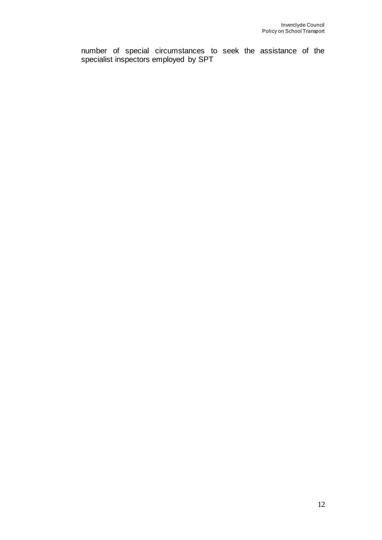number of special circumstances to seek the assistance of the specialist inspectors employed by SPT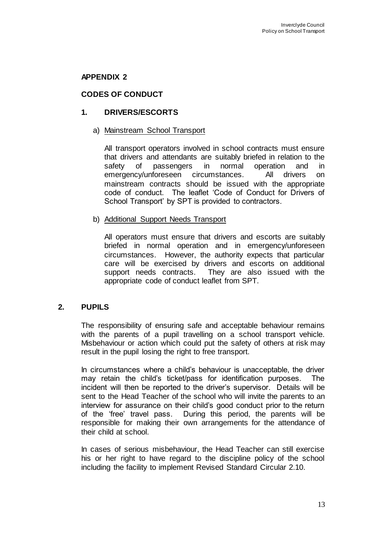### **APPENDIX 2**

## **CODES OF CONDUCT**

### **1. DRIVERS/ESCORTS**

#### a) Mainstream School Transport

All transport operators involved in school contracts must ensure that drivers and attendants are suitably briefed in relation to the safety of passengers in normal operation and in emergency/unforeseen circumstances. All drivers on mainstream contracts should be issued with the appropriate code of conduct. The leaflet 'Code of Conduct for Drivers of School Transport' by SPT is provided to contractors.

#### b) Additional Support Needs Transport

All operators must ensure that drivers and escorts are suitably briefed in normal operation and in emergency/unforeseen circumstances. However, the authority expects that particular care will be exercised by drivers and escorts on additional support needs contracts. They are also issued with the appropriate code of conduct leaflet from SPT.

### **2. PUPILS**

The responsibility of ensuring safe and acceptable behaviour remains with the parents of a pupil travelling on a school transport vehicle. Misbehaviour or action which could put the safety of others at risk may result in the pupil losing the right to free transport.

In circumstances where a child's behaviour is unacceptable, the driver may retain the child's ticket/pass for identification purposes. The incident will then be reported to the driver's supervisor. Details will be sent to the Head Teacher of the school who will invite the parents to an interview for assurance on their child's good conduct prior to the return of the 'free' travel pass. During this period, the parents will be responsible for making their own arrangements for the attendance of their child at school.

In cases of serious misbehaviour, the Head Teacher can still exercise his or her right to have regard to the discipline policy of the school including the facility to implement Revised Standard Circular 2.10.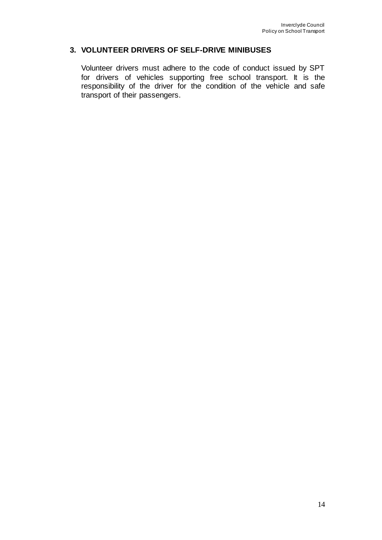## **3. VOLUNTEER DRIVERS OF SELF-DRIVE MINIBUSES**

Volunteer drivers must adhere to the code of conduct issued by SPT for drivers of vehicles supporting free school transport. It is the responsibility of the driver for the condition of the vehicle and safe transport of their passengers.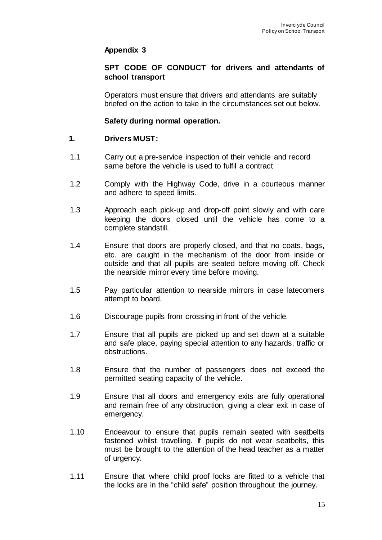## **Appendix 3**

### **SPT CODE OF CONDUCT for drivers and attendants of school transport**

Operators must ensure that drivers and attendants are suitably briefed on the action to take in the circumstances set out below.

### **Safety during normal operation.**

### **1. Drivers MUST:**

- 1.1 Carry out a pre-service inspection of their vehicle and record same before the vehicle is used to fulfil a contract
- 1.2 Comply with the Highway Code, drive in a courteous manner and adhere to speed limits.
- 1.3 Approach each pick-up and drop-off point slowly and with care keeping the doors closed until the vehicle has come to a complete standstill.
- 1.4 Ensure that doors are properly closed, and that no coats, bags, etc. are caught in the mechanism of the door from inside or outside and that all pupils are seated before moving off. Check the nearside mirror every time before moving.
- 1.5 Pay particular attention to nearside mirrors in case latecomers attempt to board.
- 1.6 Discourage pupils from crossing in front of the vehicle.
- 1.7 Ensure that all pupils are picked up and set down at a suitable and safe place, paying special attention to any hazards, traffic or obstructions.
- 1.8 Ensure that the number of passengers does not exceed the permitted seating capacity of the vehicle.
- 1.9 Ensure that all doors and emergency exits are fully operational and remain free of any obstruction, giving a clear exit in case of emergency.
- 1.10 Endeavour to ensure that pupils remain seated with seatbelts fastened whilst travelling. If pupils do not wear seatbelts, this must be brought to the attention of the head teacher as a matter of urgency.
- 1.11 Ensure that where child proof locks are fitted to a vehicle that the locks are in the "child safe" position throughout the journey.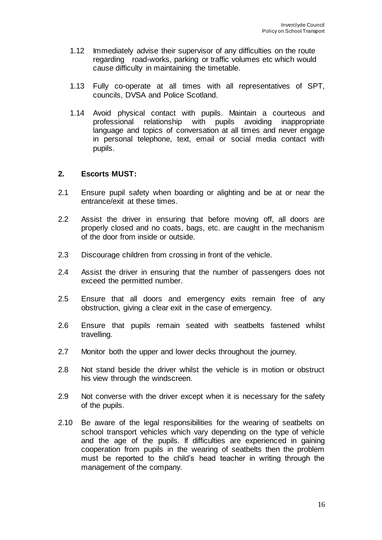- 1.12 Immediately advise their supervisor of any difficulties on the route regarding road-works, parking or traffic volumes etc which would cause difficulty in maintaining the timetable.
- 1.13 Fully co-operate at all times with all representatives of SPT, councils, DVSA and Police Scotland.
- 1.14 Avoid physical contact with pupils. Maintain a courteous and professional relationship with pupils avoiding inappropriate language and topics of conversation at all times and never engage in personal telephone, text, email or social media contact with pupils.

#### **2. Escorts MUST:**

- 2.1 Ensure pupil safety when boarding or alighting and be at or near the entrance/exit at these times.
- 2.2 Assist the driver in ensuring that before moving off, all doors are properly closed and no coats, bags, etc. are caught in the mechanism of the door from inside or outside.
- 2.3 Discourage children from crossing in front of the vehicle.
- 2.4 Assist the driver in ensuring that the number of passengers does not exceed the permitted number.
- 2.5 Ensure that all doors and emergency exits remain free of any obstruction, giving a clear exit in the case of emergency.
- 2.6 Ensure that pupils remain seated with seatbelts fastened whilst travelling.
- 2.7 Monitor both the upper and lower decks throughout the journey.
- 2.8 Not stand beside the driver whilst the vehicle is in motion or obstruct his view through the windscreen.
- 2.9 Not converse with the driver except when it is necessary for the safety of the pupils.
- 2.10 Be aware of the legal responsibilities for the wearing of seatbelts on school transport vehicles which vary depending on the type of vehicle and the age of the pupils. If difficulties are experienced in gaining cooperation from pupils in the wearing of seatbelts then the problem must be reported to the child's head teacher in writing through the management of the company.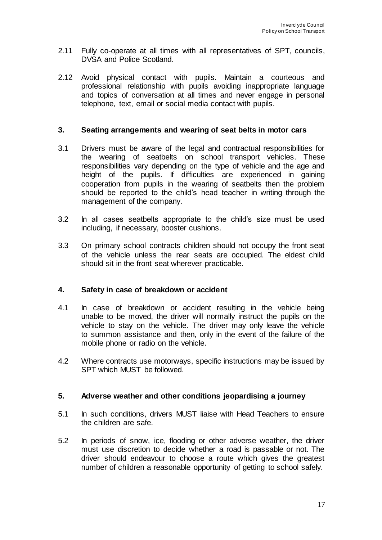- 2.11 Fully co-operate at all times with all representatives of SPT, councils, DVSA and Police Scotland.
- 2.12 Avoid physical contact with pupils. Maintain a courteous and professional relationship with pupils avoiding inappropriate language and topics of conversation at all times and never engage in personal telephone, text, email or social media contact with pupils.

#### **3. Seating arrangements and wearing of seat belts in motor cars**

- 3.1 Drivers must be aware of the legal and contractual responsibilities for the wearing of seatbelts on school transport vehicles. These responsibilities vary depending on the type of vehicle and the age and height of the pupils. If difficulties are experienced in gaining cooperation from pupils in the wearing of seatbelts then the problem should be reported to the child's head teacher in writing through the management of the company.
- 3.2 In all cases seatbelts appropriate to the child's size must be used including, if necessary, booster cushions.
- 3.3 On primary school contracts children should not occupy the front seat of the vehicle unless the rear seats are occupied. The eldest child should sit in the front seat wherever practicable.

### **4. Safety in case of breakdown or accident**

- 4.1 In case of breakdown or accident resulting in the vehicle being unable to be moved, the driver will normally instruct the pupils on the vehicle to stay on the vehicle. The driver may only leave the vehicle to summon assistance and then, only in the event of the failure of the mobile phone or radio on the vehicle.
- 4.2 Where contracts use motorways, specific instructions may be issued by SPT which MUST be followed.

#### **5. Adverse weather and other conditions jeopardising a journey**

- 5.1 In such conditions, drivers MUST liaise with Head Teachers to ensure the children are safe.
- 5.2 In periods of snow, ice, flooding or other adverse weather, the driver must use discretion to decide whether a road is passable or not. The driver should endeavour to choose a route which gives the greatest number of children a reasonable opportunity of getting to school safely.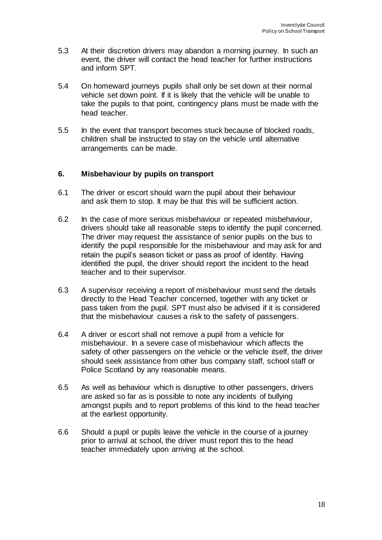- 5.3 At their discretion drivers may abandon a morning journey. In such an event, the driver will contact the head teacher for further instructions and inform SPT.
- 5.4 On homeward journeys pupils shall only be set down at their normal vehicle set down point. If it is likely that the vehicle will be unable to take the pupils to that point, contingency plans must be made with the head teacher.
- 5.5 In the event that transport becomes stuck because of blocked roads, children shall be instructed to stay on the vehicle until alternative arrangements can be made.

### **6. Misbehaviour by pupils on transport**

- 6.1 The driver or escort should warn the pupil about their behaviour and ask them to stop. It may be that this will be sufficient action.
- 6.2 In the case of more serious misbehaviour or repeated misbehaviour, drivers should take all reasonable steps to identify the pupil concerned. The driver may request the assistance of senior pupils on the bus to identify the pupil responsible for the misbehaviour and may ask for and retain the pupil's season ticket or pass as proof of identity. Having identified the pupil, the driver should report the incident to the head teacher and to their supervisor.
- 6.3 A supervisor receiving a report of misbehaviour must send the details directly to the Head Teacher concerned, together with any ticket or pass taken from the pupil. SPT must also be advised if it is considered that the misbehaviour causes a risk to the safety of passengers.
- 6.4 A driver or escort shall not remove a pupil from a vehicle for misbehaviour. In a severe case of misbehaviour which affects the safety of other passengers on the vehicle or the vehicle itself, the driver should seek assistance from other bus company staff, school staff or Police Scotland by any reasonable means.
- 6.5 As well as behaviour which is disruptive to other passengers, drivers are asked so far as is possible to note any incidents of bullying amongst pupils and to report problems of this kind to the head teacher at the earliest opportunity.
- 6.6 Should a pupil or pupils leave the vehicle in the course of a journey prior to arrival at school, the driver must report this to the head teacher immediately upon arriving at the school.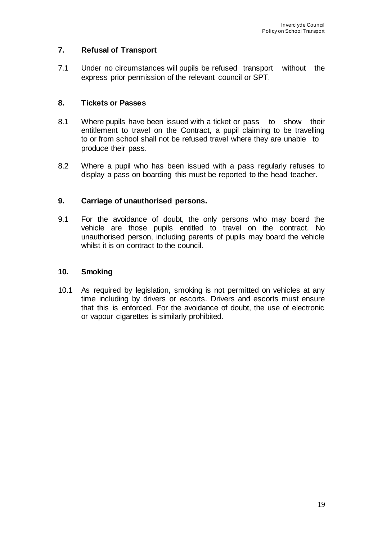# **7. Refusal of Transport**

7.1 Under no circumstances will pupils be refused transport without the express prior permission of the relevant council or SPT.

## **8. Tickets or Passes**

- 8.1 Where pupils have been issued with a ticket or pass to show their entitlement to travel on the Contract, a pupil claiming to be travelling to or from school shall not be refused travel where they are unable to produce their pass.
- 8.2 Where a pupil who has been issued with a pass regularly refuses to display a pass on boarding this must be reported to the head teacher.

## **9. Carriage of unauthorised persons.**

9.1 For the avoidance of doubt, the only persons who may board the vehicle are those pupils entitled to travel on the contract. No unauthorised person, including parents of pupils may board the vehicle whilst it is on contract to the council.

## **10. Smoking**

10.1 As required by legislation, smoking is not permitted on vehicles at any time including by drivers or escorts. Drivers and escorts must ensure that this is enforced. For the avoidance of doubt, the use of electronic or vapour cigarettes is similarly prohibited.